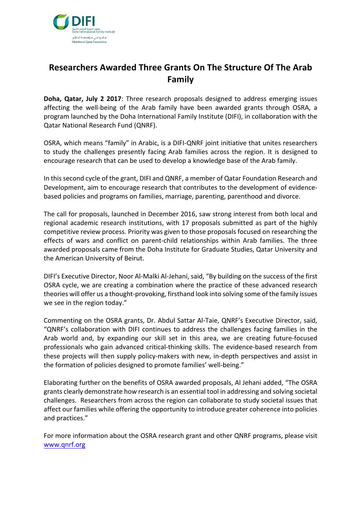

# **Researchers Awarded Three Grants On The Structure Of The Arab Family**

**Doha, Qatar, July 2 2017:** Three research proposals designed to address emerging issues affecting the well-being of the Arab family have been awarded grants through OSRA, a program launched by the Doha International Family Institute (DIFI), in collaboration with the Qatar National Research Fund (QNRF).

OSRA, which means "family" in Arabic, is a DIFI-QNRF joint initiative that unites researchers to study the challenges presently facing Arab families across the region. It is designed to encourage research that can be used to develop a knowledge base of the Arab family.

In this second cycle of the grant, DIFI and QNRF, a member of Qatar Foundation Research and Development, aim to encourage research that contributes to the development of evidencebased policies and programs on families, marriage, parenting, parenthood and divorce.

The call for proposals, launched in December 2016, saw strong interest from both local and regional academic research institutions, with 17 proposals submitted as part of the highly competitive review process. Priority was given to those proposals focused on researching the effects of wars and conflict on parent-child relationships within Arab families. The three awarded proposals came from the Doha Institute for Graduate Studies, Qatar University and the American University of Beirut.

DIFI's Executive Director, Noor Al-Malki Al-Jehani, said, "By building on the success of the first OSRA cycle, we are creating a combination where the practice of these advanced research theories will offer us a thought-provoking, firsthand look into solving some of the family issues we see in the region today."

Commenting on the OSRA grants, Dr. Abdul Sattar Al-Taie, QNRF's Executive Director, said, "QNRF's collaboration with DIFI continues to address the challenges facing families in the Arab world and, by expanding our skill set in this area, we are creating future-focused professionals who gain advanced critical-thinking skills. The evidence-based research from these projects will then supply policy-makers with new, in-depth perspectives and assist in the formation of policies designed to promote families' well-being."

Elaborating further on the benefits of OSRA awarded proposals, Al Jehani added, "The OSRA grants clearly demonstrate how research is an essential tool in addressing and solving societal challenges. Researchers from across the region can collaborate to study societal issues that affect our families while offering the opportunity to introduce greater coherence into policies and practices."

For more information about the OSRA research grant and other QNRF programs, please visit www.qnrf.org